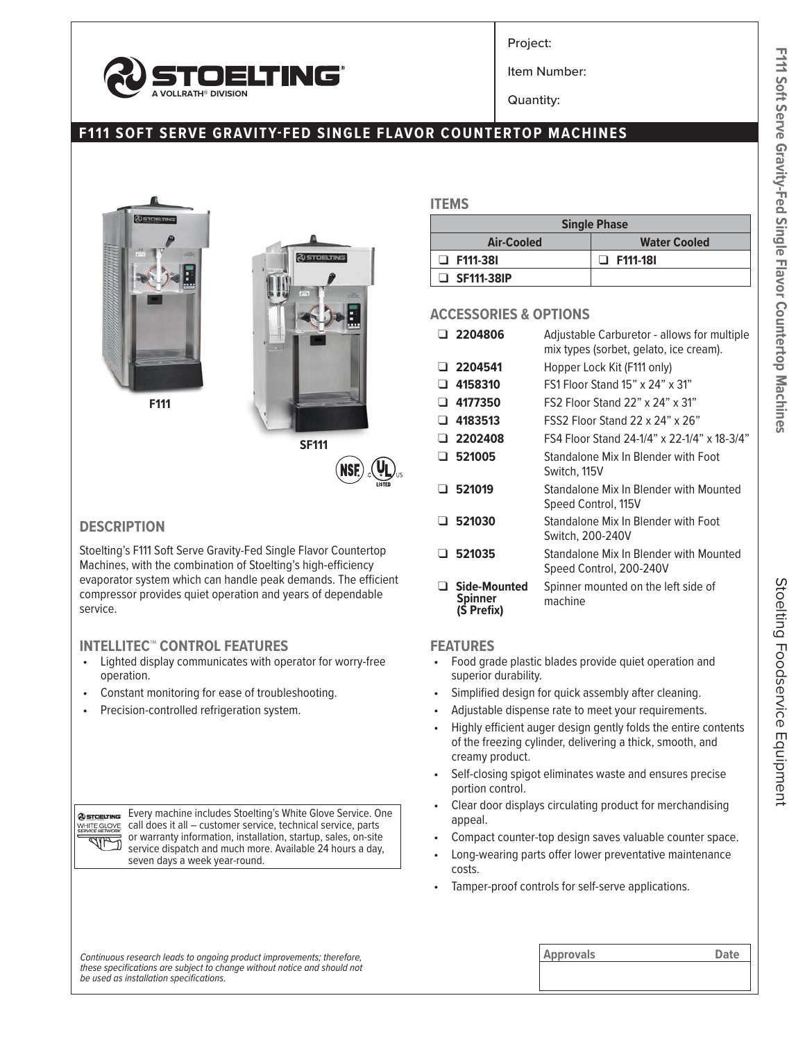

Project:

Item Number:

Quantity:

## **F111 SOFT SERVE GRAVITY-FED SINGLE FLAVOR COUNTERTOP MACHINES**





### **DESCRIPTION**

Stoelting's F111 Soft Serve Gravity-Fed Single Flavor Countertop Machines, with the combination of Stoelting's high-efficiency evaporator system which can handle peak demands. The efficient compressor provides quiet operation and years of dependable service.

### **INTELLITEC™ CONTROL FEATURES**

- Lighted display communicates with operator for worry-free operation.
- Constant monitoring for ease of troubleshooting.
- Precision-controlled refrigeration system.

**@STOELTING** WHITE GLOVE **KALA** 

Every machine includes Stoelting's White Glove Service. One call does it all – customer service, technical service, parts or warranty information, installation, startup, sales, on-site service dispatch and much more. Available 24 hours a day, seven days a week year-round.

### **ITEMS**

| <b>Single Phase</b> |                     |  |  |  |  |
|---------------------|---------------------|--|--|--|--|
| Air-Cooled          | <b>Water Cooled</b> |  |  |  |  |
| $\Box$ F111-381     | □ F111-18I          |  |  |  |  |
| $\Box$ SF111-38IP   |                     |  |  |  |  |

### **ACCESSORIES & OPTIONS**

|              | $\cup$ 2204806          | Adjustable Carburetor - allows for multiple<br>mix types (sorbet, gelato, ice cream). |
|--------------|-------------------------|---------------------------------------------------------------------------------------|
|              | $\Box$ 2204541          | Hopper Lock Kit (F111 only)                                                           |
| ப            | 4158310                 | FS1 Floor Stand 15" x 24" x 31"                                                       |
|              | $\Box$ 4177350          | FS2 Floor Stand 22" x 24" x 31"                                                       |
| $\sqcup$ .   | 4183513                 | $FSS2$ Floor Stand 22 x 24" x 26"                                                     |
|              | $\Box$ 2202408          | FS4 Floor Stand 24-1/4" x 22-1/4" x 18-3/4"                                           |
|              | $\Box$ 521005           | Standalone Mix In Blender with Foot<br>Switch, 115V                                   |
| n.           | 521019                  | Standalone Mix In Blender with Mounted<br>Speed Control, 115V                         |
| . .          | 521030                  | Standalone Mix In Blender with Foot<br>Switch, 200-240V                               |
| $\mathbf{L}$ | 521035                  | Standalone Mix In Blender with Mounted<br>Speed Control, 200-240V                     |
|              | Side-Mounted<br>Spinner | Spinner mounted on the left side of<br>machine                                        |

# **FEATURES**

**(S Prefix)**

- Food grade plastic blades provide quiet operation and superior durability.
- Simplified design for quick assembly after cleaning.
- Adjustable dispense rate to meet your requirements.
- Highly efficient auger design gently folds the entire contents of the freezing cylinder, delivering a thick, smooth, and creamy product.
- Self-closing spigot eliminates waste and ensures precise portion control.
- Clear door displays circulating product for merchandising appeal.
- Compact counter-top design saves valuable counter space.
- Long-wearing parts offer lower preventative maintenance costs.
- Tamper-proof controls for self-serve applications.

F111 Soft Serve Gravity-Fed Single Flavor Countertop Machines Stoelting Foodservice Equipment **F111 Soft Serve Gravity-Fed Single Flavor Countertop Machines**

Continuous research leads to ongoing product improvements; therefore, **Approvals Approvals Approvals Date** *these specifications are subject to change without notice and should not be used as installation specifications.*